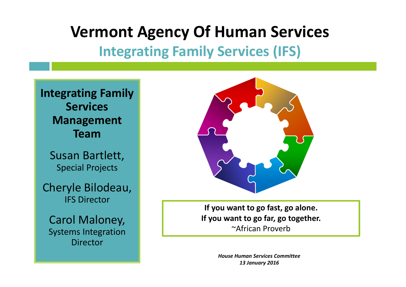## **Vermont Agency Of Human Services**

## **Integrating Family Services (IFS)**





**If you want to go fast, go alone. If you want to go far, go together.** ~African Proverb

> *House Human Services Committee 13 January 2016*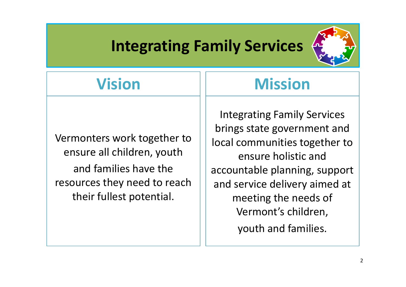## **Integrating Family Services**



## **Vision**

Vermonters work together to ensure all children, youth and families have the resources they need to reach their fullest potential.

## **Mission**

Integrating Family Services brings state government and local communities together to ensure holistic and accountable planning, support and service delivery aimed at meeting the needs of Vermont's children, youth and families.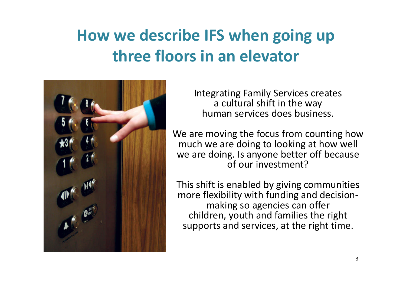## **How we describe IFS when going up three floors in an elevator**



Integrating Family Services creates a cultural shift in the way human services does business.

We are moving the focus from counting how much we are doing to looking at how well we are doing. Is anyone better off because of our investment?

This shift is enabled by giving communities more flexibility with funding and decisionmaking so agencies can offer children, youth and families the right supports and services, at the right time.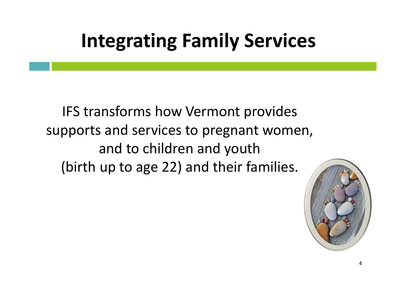## **Integrating Family Services**

IFS transforms how Vermont provides supports and services to pregnant women, and to children and youth (birth up to age 22) and their families.

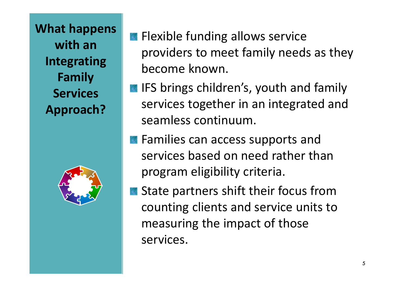**What happens with an Integrating Family Services Approach?**



- **Flexible funding allows service** providers to meet family needs as they become known.
- **IFS brings children's, youth and family** services together in an integrated and seamless continuum.
- **Families can access supports and** services based on need rather than program eligibility criteria.
- State partners shift their focus from counting clients and service units to measuring the impact of those services.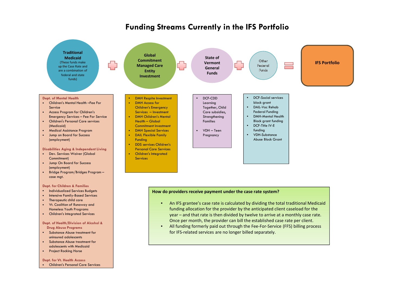### **Funding Streams Currently in the IFS Portfolio**



• Project Rocking Horse

#### **Dept. for Vt. Health Access**

• Children's Personal Care Services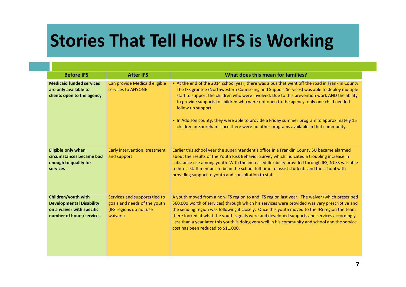## **Stories That Tell How IFS is Working**

| <b>Before IFS</b>                                                                                               | <b>After IFS</b>                                                                                     | What does this mean for families?                                                                                                                                                                                                                                                                                                                                                                                                                                                                                                                                                                    |
|-----------------------------------------------------------------------------------------------------------------|------------------------------------------------------------------------------------------------------|------------------------------------------------------------------------------------------------------------------------------------------------------------------------------------------------------------------------------------------------------------------------------------------------------------------------------------------------------------------------------------------------------------------------------------------------------------------------------------------------------------------------------------------------------------------------------------------------------|
| <b>Medicaid funded services</b><br>are only available to<br>clients open to the agency                          | Can provide Medicaid eligible<br>services to ANYONE                                                  | • At the end of the 2014 school year, there was a bus that went off the road in Franklin County.<br>The IFS grantee (Northwestern Counseling and Support Services) was able to deploy multiple<br>staff to support the children who were involved. Due to this prevention work AND the ability<br>to provide supports to children who were not open to the agency, only one child needed<br>follow up support.<br>. In Addison county, they were able to provide a Friday summer program to approximately 15<br>children in Shoreham since there were no other programs available in that community. |
| <b>Eligible only when</b><br>circumstances became bad<br>enough to qualify for<br>services                      | Early intervention, treatment<br>and support                                                         | Earlier this school year the superintendent's office in a Franklin County SU became alarmed<br>about the results of the Youth Risk Behavior Survey which indicated a troubling increase in<br>substance use among youth. With the increased flexibility provided through IFS, NCSS was able<br>to hire a staff member to be in the school full-time to assist students and the school with<br>providing support to youth and consultation to staff.                                                                                                                                                  |
| Children/youth with<br><b>Developmental Disability</b><br>on a waiver with specific<br>number of hours/services | Services and supports tied to<br>goals and needs of the youth<br>(IFS regions do not use<br>waivers) | A youth moved from a non-IFS region to and IFS region last year. The waiver (which prescribed<br>\$60,000 worth of services) through which his services were provided was very prescriptive and<br>the sending region was following it closely. Once this youth moved to the IFS region the team<br>there looked at what the youth's goals were and developed supports and services accordingly.<br>Less than a year later this youth is doing very well in his community and school and the service<br>cost has been reduced to \$11,000.                                                           |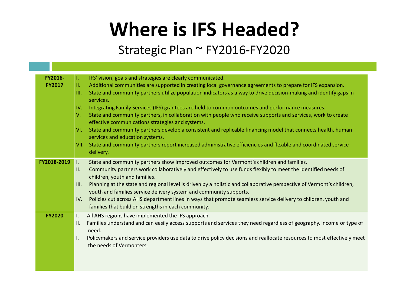# **Where is IFS Headed?**

### Strategic Plan ~ FY2016-FY2020

| <b>FY2016-</b> | Ъ.              | IFS' vision, goals and strategies are clearly communicated.                                                             |
|----------------|-----------------|-------------------------------------------------------------------------------------------------------------------------|
| <b>FY2017</b>  | Ш.              | Additional communities are supported in creating local governance agreements to prepare for IFS expansion.              |
|                | Ш.              | State and community partners utilize population indicators as a way to drive decision-making and identify gaps in       |
|                |                 | services.                                                                                                               |
|                | IV.             | Integrating Family Services (IFS) grantees are held to common outcomes and performance measures.                        |
|                | V.              | State and community partners, in collaboration with people who receive supports and services, work to create            |
|                |                 | effective communications strategies and systems.                                                                        |
|                | VI.             | State and community partners develop a consistent and replicable financing model that connects health, human            |
|                |                 | services and education systems.                                                                                         |
|                | VII.            | State and community partners report increased administrative efficiencies and flexible and coordinated service          |
|                |                 | delivery.                                                                                                               |
| FY2018-2019    | $\mathbf{I}$ .  | State and community partners show improved outcomes for Vermont's children and families.                                |
|                | $\mathbf{II}$ . | Community partners work collaboratively and effectively to use funds flexibly to meet the identified needs of           |
|                |                 | children, youth and families.                                                                                           |
|                | III.            | Planning at the state and regional level is driven by a holistic and collaborative perspective of Vermont's children,   |
|                |                 | youth and families service delivery system and community supports.                                                      |
|                | IV.             | Policies cut across AHS department lines in ways that promote seamless service delivery to children, youth and          |
|                |                 | families that build on strengths in each community.                                                                     |
| <b>FY2020</b>  | $\mathsf{L}$    | All AHS regions have implemented the IFS approach.                                                                      |
|                | Ш.              | Families understand and can easily access supports and services they need regardless of geography, income or type of    |
|                |                 | need.                                                                                                                   |
|                | Ι.              | Policymakers and service providers use data to drive policy decisions and reallocate resources to most effectively meet |
|                |                 | the needs of Vermonters.                                                                                                |
|                |                 |                                                                                                                         |
|                |                 |                                                                                                                         |